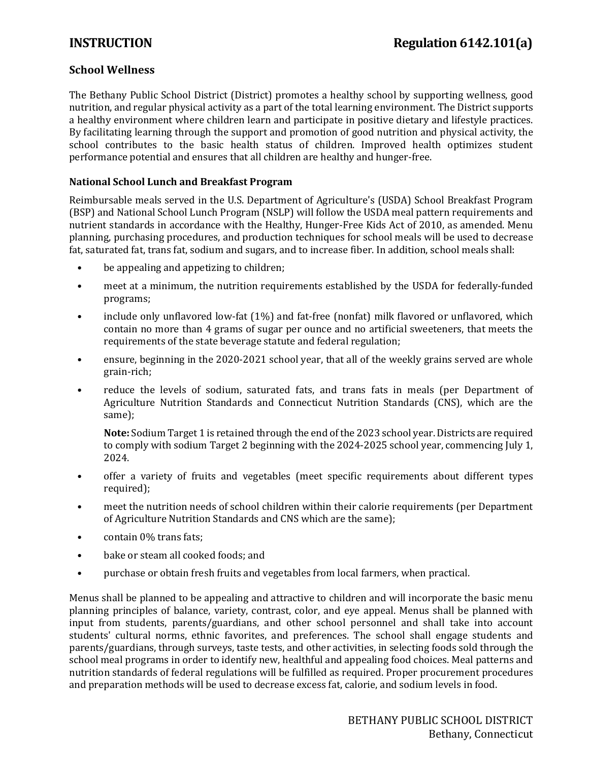# **School Wellness**

The Bethany Public School District (District) promotes a healthy school by supporting wellness, good nutrition, and regular physical activity as a part of the total learning environment. The District supports a healthy environment where children learn and participate in positive dietary and lifestyle practices. By facilitating learning through the support and promotion of good nutrition and physical activity, the school contributes to the basic health status of children. Improved health optimizes student performance potential and ensures that all children are healthy and hunger-free.

### **National School Lunch and Breakfast Program**

Reimbursable meals served in the U.S. Department of Agriculture's (USDA) School Breakfast Program (BSP) and National School Lunch Program (NSLP) will follow the USDA meal pattern requirements and nutrient standards in accordance with the Healthy, Hunger-Free Kids Act of 2010, as amended. Menu planning, purchasing procedures, and production techniques for school meals will be used to decrease fat, saturated fat, trans fat, sodium and sugars, and to increase fiber. In addition, school meals shall:

- be appealing and appetizing to children;
- meet at a minimum, the nutrition requirements established by the USDA for federally-funded programs;
- include only unflavored low-fat (1%) and fat-free (nonfat) milk flavored or unflavored, which contain no more than 4 grams of sugar per ounce and no artificial sweeteners, that meets the requirements of the state beverage statute and federal regulation;
- ensure, beginning in the 2020-2021 school year, that all of the weekly grains served are whole grain-rich;
- reduce the levels of sodium, saturated fats, and trans fats in meals (per Department of Agriculture Nutrition Standards and Connecticut Nutrition Standards (CNS), which are the same);

**Note:** Sodium Target 1 is retained through the end of the 2023 school year. Districts are required to comply with sodium Target 2 beginning with the 2024-2025 school year, commencing July 1, 2024.

- offer a variety of fruits and vegetables (meet specific requirements about different types required);
- meet the nutrition needs of school children within their calorie requirements (per Department of Agriculture Nutrition Standards and CNS which are the same);
- contain 0% trans fats;
- bake or steam all cooked foods; and
- purchase or obtain fresh fruits and vegetables from local farmers, when practical.

Menus shall be planned to be appealing and attractive to children and will incorporate the basic menu planning principles of balance, variety, contrast, color, and eye appeal. Menus shall be planned with input from students, parents/guardians, and other school personnel and shall take into account students' cultural norms, ethnic favorites, and preferences. The school shall engage students and parents/guardians, through surveys, taste tests, and other activities, in selecting foods sold through the school meal programs in order to identify new, healthful and appealing food choices. Meal patterns and nutrition standards of federal regulations will be fulfilled as required. Proper procurement procedures and preparation methods will be used to decrease excess fat, calorie, and sodium levels in food.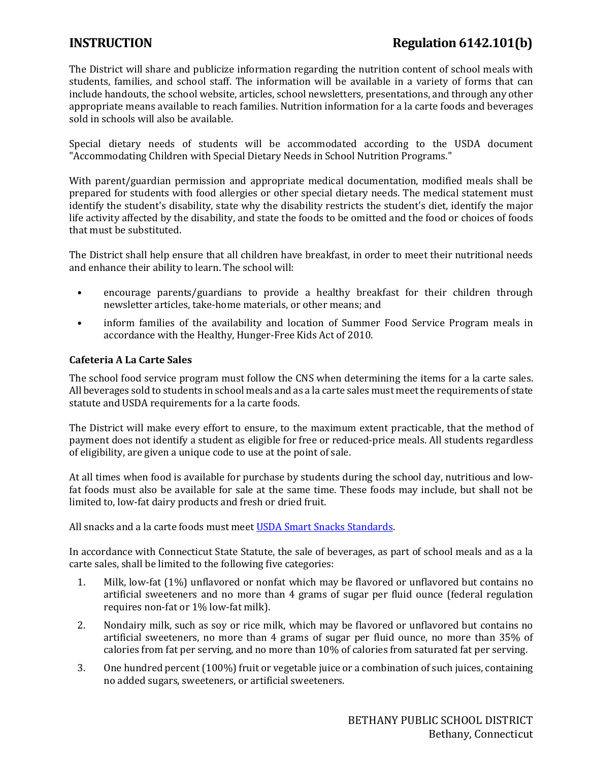# **INSTRUCTION Regulation 6142.101(b)**

The District will share and publicize information regarding the nutrition content of school meals with students, families, and school staff. The information will be available in a variety of forms that can include handouts, the school website, articles, school newsletters, presentations, and through any other appropriate means available to reach families. Nutrition information for a la carte foods and beverages sold in schools will also be available.

Special dietary needs of students will be accommodated according to the USDA document "Accommodating Children with Special Dietary Needs in School Nutrition Programs."

With parent/guardian permission and appropriate medical documentation, modified meals shall be prepared for students with food allergies or other special dietary needs. The medical statement must identify the student's disability, state why the disability restricts the student's diet, identify the major life activity affected by the disability, and state the foods to be omitted and the food or choices of foods that must be substituted.

The District shall help ensure that all children have breakfast, in order to meet their nutritional needs and enhance their ability to learn. The school will:

- encourage parents/guardians to provide a healthy breakfast for their children through newsletter articles, take-home materials, or other means; and
- inform families of the availability and location of Summer Food Service Program meals in accordance with the Healthy, Hunger-Free Kids Act of 2010.

### **Cafeteria A La Carte Sales**

The school food service program must follow the CNS when determining the items for a la carte sales. All beverages sold to students in school meals and as a la carte sales must meet the requirements of state statute and USDA requirements for a la carte foods.

The District will make every effort to ensure, to the maximum extent practicable, that the method of payment does not identify a student as eligible for free or reduced-price meals. All students regardless of eligibility, are given a unique code to use at the point of sale.

At all times when food is available for purchase by students during the school day, nutritious and lowfat foods must also be available for sale at the same time. These foods may include, but shall not be limited to, low-fat dairy products and fresh or dried fruit.

All snacks and a la carte foods must mee[t USDA Smart Snacks Standards.](https://www.fns.usda.gov/tn/guide-smart-snacks-school) 

In accordance with Connecticut State Statute, the sale of beverages, as part of school meals and as a la carte sales, shall be limited to the following five categories:

- 1. Milk, low-fat (1%) unflavored or nonfat which may be flavored or unflavored but contains no artificial sweeteners and no more than 4 grams of sugar per fluid ounce (federal regulation requires non-fat or 1% low-fat milk).
- 2. Nondairy milk, such as soy or rice milk, which may be flavored or unflavored but contains no artificial sweeteners, no more than 4 grams of sugar per fluid ounce, no more than 35% of calories from fat per serving, and no more than 10% of calories from saturated fat per serving.
- 3. One hundred percent (100%) fruit or vegetable juice or a combination of such juices, containing no added sugars, sweeteners, or artificial sweeteners.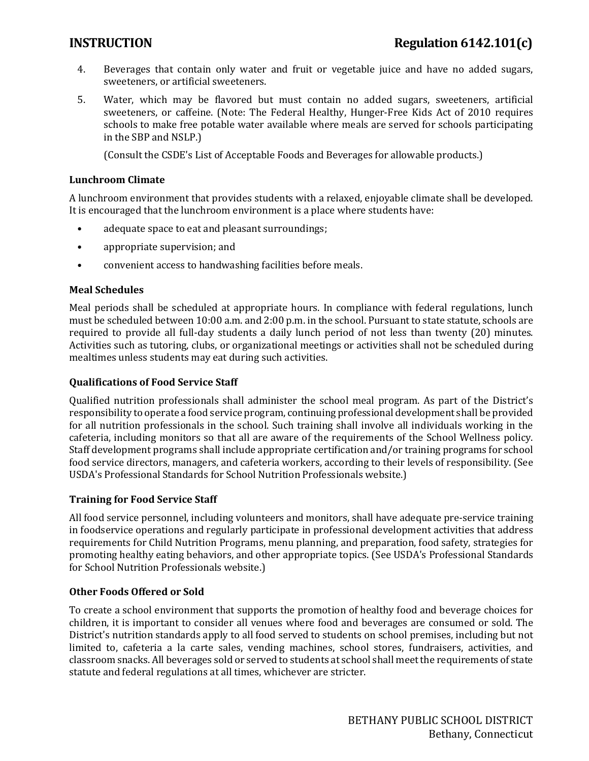- 4. Beverages that contain only water and fruit or vegetable juice and have no added sugars, sweeteners, or artificial sweeteners.
- 5. Water, which may be flavored but must contain no added sugars, sweeteners, artificial sweeteners, or caffeine. (Note: The Federal Healthy, Hunger-Free Kids Act of 2010 requires schools to make free potable water available where meals are served for schools participating in the SBP and NSLP.)

(Consult the CSDE's List of Acceptable Foods and Beverages for allowable products.)

### **Lunchroom Climate**

A lunchroom environment that provides students with a relaxed, enjoyable climate shall be developed. It is encouraged that the lunchroom environment is a place where students have:

- adequate space to eat and pleasant surroundings;
- appropriate supervision; and
- convenient access to handwashing facilities before meals.

### **Meal Schedules**

Meal periods shall be scheduled at appropriate hours. In compliance with federal regulations, lunch must be scheduled between 10:00 a.m. and 2:00 p.m. in the school. Pursuant to state statute, schools are required to provide all full-day students a daily lunch period of not less than twenty (20) minutes. Activities such as tutoring, clubs, or organizational meetings or activities shall not be scheduled during mealtimes unless students may eat during such activities.

### **Qualifications of Food Service Staff**

Qualified nutrition professionals shall administer the school meal program. As part of the District's responsibility to operate a food service program, continuing professional development shall be provided for all nutrition professionals in the school. Such training shall involve all individuals working in the cafeteria, including monitors so that all are aware of the requirements of the School Wellness policy. Staff development programs shall include appropriate certification and/or training programs for school food service directors, managers, and cafeteria workers, according to their levels of responsibility. (See USDA's Professional Standards for School Nutrition Professionals website.)

# **Training for Food Service Staff**

All food service personnel, including volunteers and monitors, shall have adequate pre-service training in foodservice operations and regularly participate in professional development activities that address requirements for Child Nutrition Programs, menu planning, and preparation, food safety, strategies for promoting healthy eating behaviors, and other appropriate topics. (See USDA's Professional Standards for School Nutrition Professionals website.)

# **Other Foods Offered or Sold**

To create a school environment that supports the promotion of healthy food and beverage choices for children, it is important to consider all venues where food and beverages are consumed or sold. The District's nutrition standards apply to all food served to students on school premises, including but not limited to, cafeteria a la carte sales, vending machines, school stores, fundraisers, activities, and classroom snacks. All beverages sold or served to students at school shall meet the requirements of state statute and federal regulations at all times, whichever are stricter.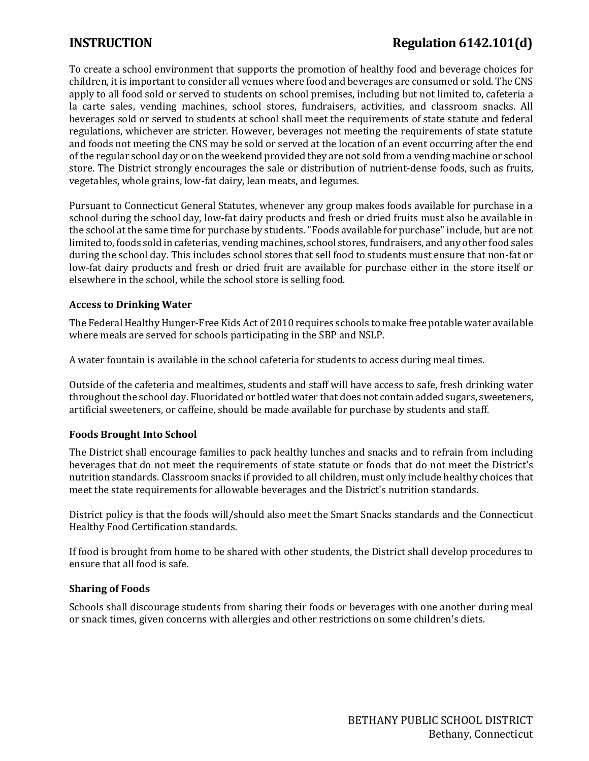# **INSTRUCTION Regulation 6142.101(d)**

To create a school environment that supports the promotion of healthy food and beverage choices for children, it is important to consider all venues where food and beverages are consumed or sold. The CNS apply to all food sold or served to students on school premises, including but not limited to, cafeteria a la carte sales, vending machines, school stores, fundraisers, activities, and classroom snacks. All beverages sold or served to students at school shall meet the requirements of state statute and federal regulations, whichever are stricter. However, beverages not meeting the requirements of state statute and foods not meeting the CNS may be sold or served at the location of an event occurring after the end of the regular school day or on the weekend provided they are not sold from a vending machine or school store. The District strongly encourages the sale or distribution of nutrient-dense foods, such as fruits, vegetables, whole grains, low-fat dairy, lean meats, and legumes.

Pursuant to Connecticut General Statutes, whenever any group makes foods available for purchase in a school during the school day, low-fat dairy products and fresh or dried fruits must also be available in the school at the same time for purchase by students. "Foods available for purchase" include, but are not limited to, foods sold in cafeterias, vending machines, school stores, fundraisers, and any other food sales during the school day. This includes school stores that sell food to students must ensure that non-fat or low-fat dairy products and fresh or dried fruit are available for purchase either in the store itself or elsewhere in the school, while the school store is selling food.

#### **Access to Drinking Water**

The Federal Healthy Hunger-Free Kids Act of 2010 requires schools to make free potable water available where meals are served for schools participating in the SBP and NSLP.

A water fountain is available in the school cafeteria for students to access during meal times.

Outside of the cafeteria and mealtimes, students and staff will have access to safe, fresh drinking water throughout the school day. Fluoridated or bottled water that does not contain added sugars, sweeteners, artificial sweeteners, or caffeine, should be made available for purchase by students and staff.

# **Foods Brought Into School**

The District shall encourage families to pack healthy lunches and snacks and to refrain from including beverages that do not meet the requirements of state statute or foods that do not meet the District's nutrition standards. Classroom snacks if provided to all children, must only include healthy choices that meet the state requirements for allowable beverages and the District's nutrition standards.

District policy is that the foods will/should also meet the Smart Snacks standards and the Connecticut Healthy Food Certification standards.

If food is brought from home to be shared with other students, the District shall develop procedures to ensure that all food is safe.

#### **Sharing of Foods**

Schools shall discourage students from sharing their foods or beverages with one another during meal or snack times, given concerns with allergies and other restrictions on some children's diets.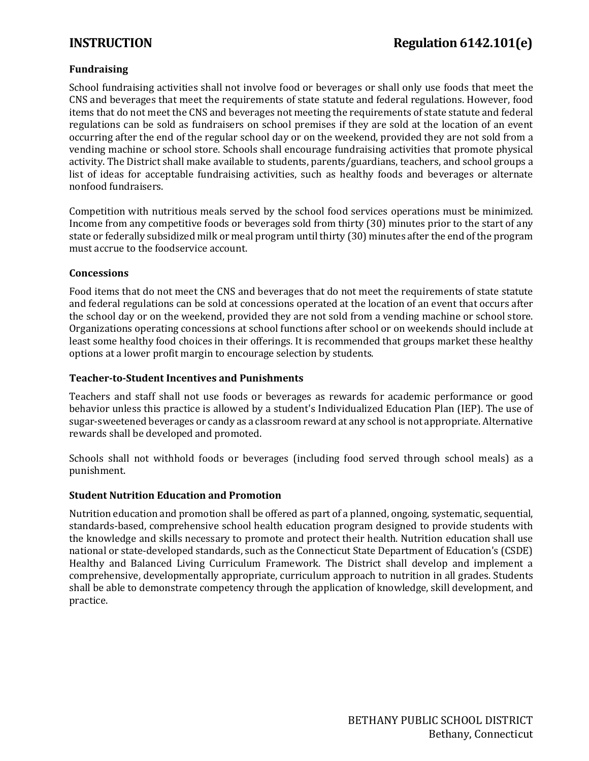# **Fundraising**

School fundraising activities shall not involve food or beverages or shall only use foods that meet the CNS and beverages that meet the requirements of state statute and federal regulations. However, food items that do not meet the CNS and beverages not meeting the requirements of state statute and federal regulations can be sold as fundraisers on school premises if they are sold at the location of an event occurring after the end of the regular school day or on the weekend, provided they are not sold from a vending machine or school store. Schools shall encourage fundraising activities that promote physical activity. The District shall make available to students, parents/guardians, teachers, and school groups a list of ideas for acceptable fundraising activities, such as healthy foods and beverages or alternate nonfood fundraisers.

Competition with nutritious meals served by the school food services operations must be minimized. Income from any competitive foods or beverages sold from thirty (30) minutes prior to the start of any state or federally subsidized milk or meal program until thirty (30) minutes after the end of the program must accrue to the foodservice account.

### **Concessions**

Food items that do not meet the CNS and beverages that do not meet the requirements of state statute and federal regulations can be sold at concessions operated at the location of an event that occurs after the school day or on the weekend, provided they are not sold from a vending machine or school store. Organizations operating concessions at school functions after school or on weekends should include at least some healthy food choices in their offerings. It is recommended that groups market these healthy options at a lower profit margin to encourage selection by students.

### **Teacher-to-Student Incentives and Punishments**

Teachers and staff shall not use foods or beverages as rewards for academic performance or good behavior unless this practice is allowed by a student's Individualized Education Plan (IEP). The use of sugar-sweetened beverages or candy as a classroom reward at any school is not appropriate. Alternative rewards shall be developed and promoted.

Schools shall not withhold foods or beverages (including food served through school meals) as a punishment.

# **Student Nutrition Education and Promotion**

Nutrition education and promotion shall be offered as part of a planned, ongoing, systematic, sequential, standards-based, comprehensive school health education program designed to provide students with the knowledge and skills necessary to promote and protect their health. Nutrition education shall use national or state-developed standards, such as the Connecticut State Department of Education's (CSDE) Healthy and Balanced Living Curriculum Framework. The District shall develop and implement a comprehensive, developmentally appropriate, curriculum approach to nutrition in all grades. Students shall be able to demonstrate competency through the application of knowledge, skill development, and practice.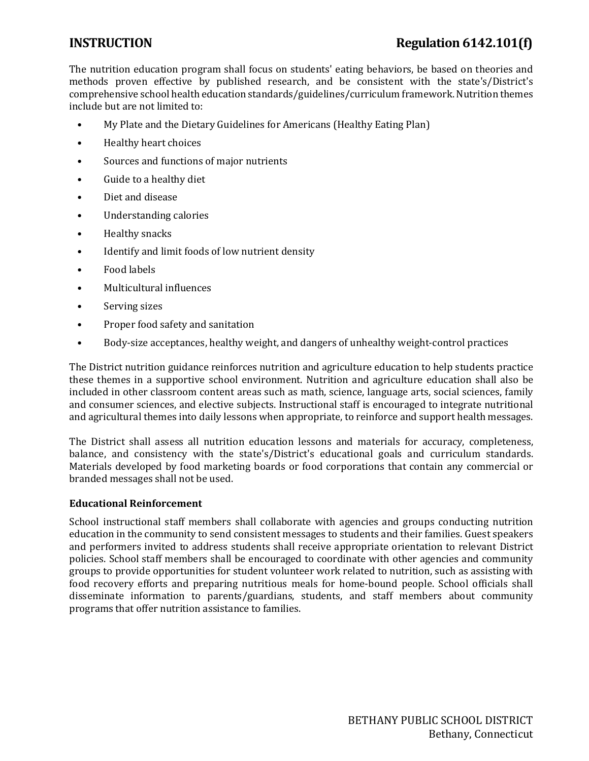# **INSTRUCTION Regulation 6142.101(f)**

The nutrition education program shall focus on students' eating behaviors, be based on theories and methods proven effective by published research, and be consistent with the state's/District's comprehensive school health education standards/guidelines/curriculum framework. Nutrition themes include but are not limited to:

- My Plate and the Dietary Guidelines for Americans (Healthy Eating Plan)
- Healthy heart choices
- Sources and functions of major nutrients
- Guide to a healthy diet
- Diet and disease
- Understanding calories
- Healthy snacks
- Identify and limit foods of low nutrient density
- Food labels
- Multicultural influences
- Serving sizes
- Proper food safety and sanitation
- Body-size acceptances, healthy weight, and dangers of unhealthy weight-control practices

The District nutrition guidance reinforces nutrition and agriculture education to help students practice these themes in a supportive school environment. Nutrition and agriculture education shall also be included in other classroom content areas such as math, science, language arts, social sciences, family and consumer sciences, and elective subjects. Instructional staff is encouraged to integrate nutritional and agricultural themes into daily lessons when appropriate, to reinforce and support health messages.

The District shall assess all nutrition education lessons and materials for accuracy, completeness, balance, and consistency with the state's/District's educational goals and curriculum standards. Materials developed by food marketing boards or food corporations that contain any commercial or branded messages shall not be used.

# **Educational Reinforcement**

School instructional staff members shall collaborate with agencies and groups conducting nutrition education in the community to send consistent messages to students and their families. Guest speakers and performers invited to address students shall receive appropriate orientation to relevant District policies. School staff members shall be encouraged to coordinate with other agencies and community groups to provide opportunities for student volunteer work related to nutrition, such as assisting with food recovery efforts and preparing nutritious meals for home-bound people. School officials shall disseminate information to parents/guardians, students, and staff members about community programs that offer nutrition assistance to families.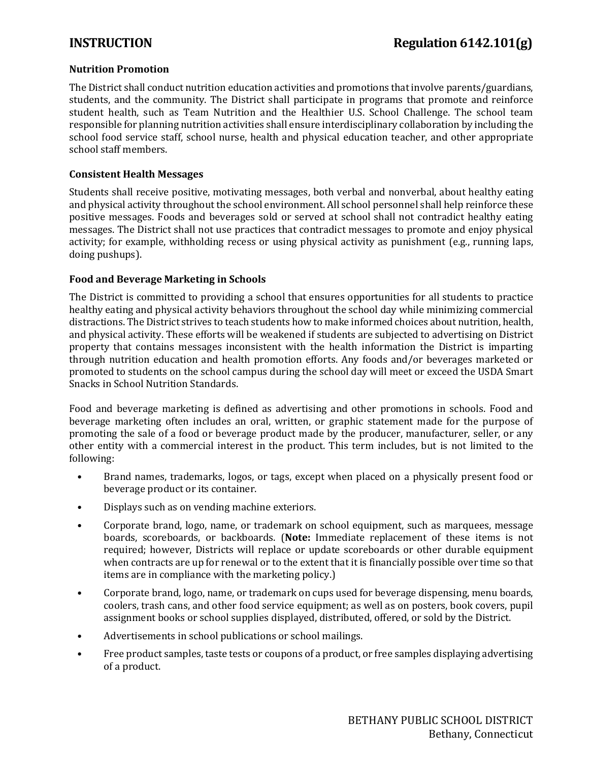# **Nutrition Promotion**

The District shall conduct nutrition education activities and promotions that involve parents/guardians, students, and the community. The District shall participate in programs that promote and reinforce student health, such as Team Nutrition and the Healthier U.S. School Challenge. The school team responsible for planning nutrition activities shall ensure interdisciplinary collaboration by including the school food service staff, school nurse, health and physical education teacher, and other appropriate school staff members.

### **Consistent Health Messages**

Students shall receive positive, motivating messages, both verbal and nonverbal, about healthy eating and physical activity throughout the school environment. All school personnel shall help reinforce these positive messages. Foods and beverages sold or served at school shall not contradict healthy eating messages. The District shall not use practices that contradict messages to promote and enjoy physical activity; for example, withholding recess or using physical activity as punishment (e.g., running laps, doing pushups).

### **Food and Beverage Marketing in Schools**

The District is committed to providing a school that ensures opportunities for all students to practice healthy eating and physical activity behaviors throughout the school day while minimizing commercial distractions. The District strives to teach students how to make informed choices about nutrition, health, and physical activity. These efforts will be weakened if students are subjected to advertising on District property that contains messages inconsistent with the health information the District is imparting through nutrition education and health promotion efforts. Any foods and/or beverages marketed or promoted to students on the school campus during the school day will meet or exceed the USDA Smart Snacks in School Nutrition Standards.

Food and beverage marketing is defined as advertising and other promotions in schools. Food and beverage marketing often includes an oral, written, or graphic statement made for the purpose of promoting the sale of a food or beverage product made by the producer, manufacturer, seller, or any other entity with a commercial interest in the product. This term includes, but is not limited to the following:

- Brand names, trademarks, logos, or tags, except when placed on a physically present food or beverage product or its container.
- Displays such as on vending machine exteriors.
- Corporate brand, logo, name, or trademark on school equipment, such as marquees, message boards, scoreboards, or backboards. (**Note:** Immediate replacement of these items is not required; however, Districts will replace or update scoreboards or other durable equipment when contracts are up for renewal or to the extent that it is financially possible over time so that items are in compliance with the marketing policy.)
- Corporate brand, logo, name, or trademark on cups used for beverage dispensing, menu boards, coolers, trash cans, and other food service equipment; as well as on posters, book covers, pupil assignment books or school supplies displayed, distributed, offered, or sold by the District.
- Advertisements in school publications or school mailings.
- Free product samples, taste tests or coupons of a product, or free samples displaying advertising of a product.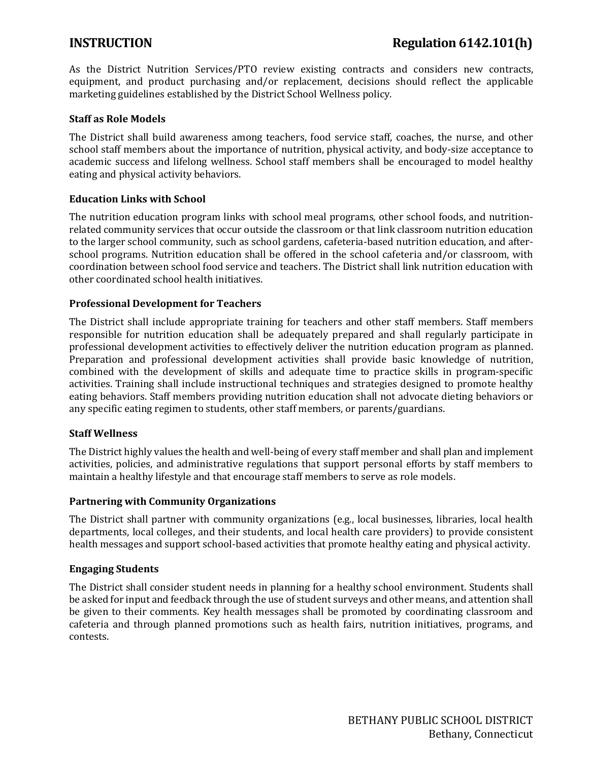As the District Nutrition Services/PTO review existing contracts and considers new contracts, equipment, and product purchasing and/or replacement, decisions should reflect the applicable marketing guidelines established by the District School Wellness policy.

# **Staff as Role Models**

The District shall build awareness among teachers, food service staff, coaches, the nurse, and other school staff members about the importance of nutrition, physical activity, and body-size acceptance to academic success and lifelong wellness. School staff members shall be encouraged to model healthy eating and physical activity behaviors.

### **Education Links with School**

The nutrition education program links with school meal programs, other school foods, and nutritionrelated community services that occur outside the classroom or that link classroom nutrition education to the larger school community, such as school gardens, cafeteria-based nutrition education, and afterschool programs. Nutrition education shall be offered in the school cafeteria and/or classroom, with coordination between school food service and teachers. The District shall link nutrition education with other coordinated school health initiatives.

### **Professional Development for Teachers**

The District shall include appropriate training for teachers and other staff members. Staff members responsible for nutrition education shall be adequately prepared and shall regularly participate in professional development activities to effectively deliver the nutrition education program as planned. Preparation and professional development activities shall provide basic knowledge of nutrition, combined with the development of skills and adequate time to practice skills in program-specific activities. Training shall include instructional techniques and strategies designed to promote healthy eating behaviors. Staff members providing nutrition education shall not advocate dieting behaviors or any specific eating regimen to students, other staff members, or parents/guardians.

# **Staff Wellness**

The District highly values the health and well-being of every staff member and shall plan and implement activities, policies, and administrative regulations that support personal efforts by staff members to maintain a healthy lifestyle and that encourage staff members to serve as role models.

#### **Partnering with Community Organizations**

The District shall partner with community organizations (e.g., local businesses, libraries, local health departments, local colleges, and their students, and local health care providers) to provide consistent health messages and support school-based activities that promote healthy eating and physical activity.

#### **Engaging Students**

The District shall consider student needs in planning for a healthy school environment. Students shall be asked for input and feedback through the use of student surveys and other means, and attention shall be given to their comments. Key health messages shall be promoted by coordinating classroom and cafeteria and through planned promotions such as health fairs, nutrition initiatives, programs, and contests.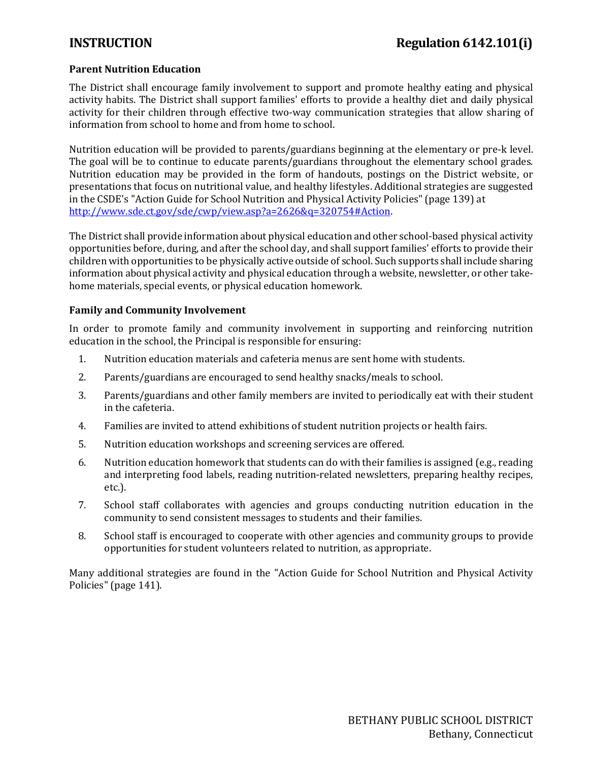# **Parent Nutrition Education**

The District shall encourage family involvement to support and promote healthy eating and physical activity habits. The District shall support families' efforts to provide a healthy diet and daily physical activity for their children through effective two-way communication strategies that allow sharing of information from school to home and from home to school.

Nutrition education will be provided to parents/guardians beginning at the elementary or pre-k level. The goal will be to continue to educate parents/guardians throughout the elementary school grades. Nutrition education may be provided in the form of handouts, postings on the District website, or presentations that focus on nutritional value, and healthy lifestyles. Additional strategies are suggested in the CSDE's "Action Guide for School Nutrition and Physical Activity Policies" (page 139) at [http://www.sde.ct.gov/sde/cwp/view.asp?a=2626&q=320754#Action.](http://www.sde.ct.gov/sde/cwp/view.asp?a=2626&q=320754#Action)

The District shall provide information about physical education and other school-based physical activity opportunities before, during, and after the school day, and shall support families' efforts to provide their children with opportunities to be physically active outside of school. Such supports shall include sharing information about physical activity and physical education through a website, newsletter, or other takehome materials, special events, or physical education homework.

### **Family and Community Involvement**

In order to promote family and community involvement in supporting and reinforcing nutrition education in the school, the Principal is responsible for ensuring:

- 1. Nutrition education materials and cafeteria menus are sent home with students.
- 2. Parents/guardians are encouraged to send healthy snacks/meals to school.
- 3. Parents/guardians and other family members are invited to periodically eat with their student in the cafeteria.
- 4. Families are invited to attend exhibitions of student nutrition projects or health fairs.
- 5. Nutrition education workshops and screening services are offered.
- 6. Nutrition education homework that students can do with their families is assigned (e.g., reading and interpreting food labels, reading nutrition-related newsletters, preparing healthy recipes, etc.).
- 7. School staff collaborates with agencies and groups conducting nutrition education in the community to send consistent messages to students and their families.
- 8. School staff is encouraged to cooperate with other agencies and community groups to provide opportunities for student volunteers related to nutrition, as appropriate.

Many additional strategies are found in the "Action Guide for School Nutrition and Physical Activity Policies" (page 141).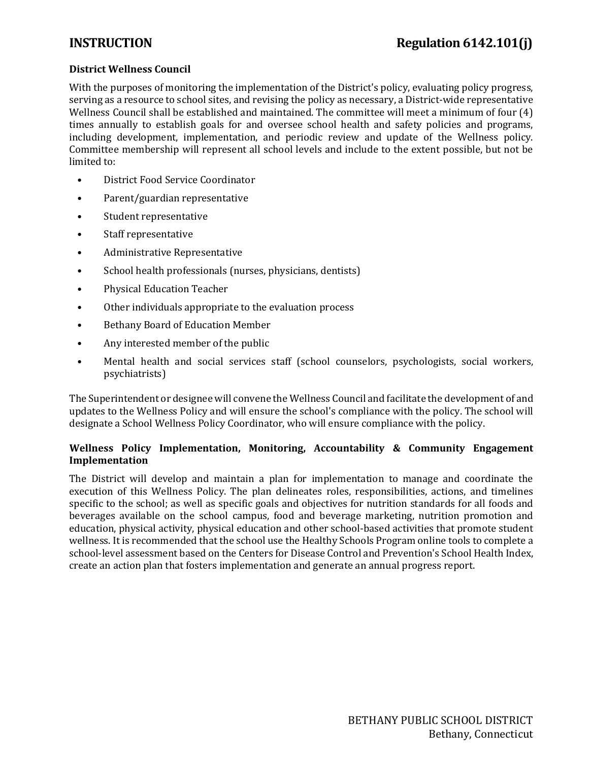# **District Wellness Council**

With the purposes of monitoring the implementation of the District's policy, evaluating policy progress, serving as a resource to school sites, and revising the policy as necessary, a District-wide representative Wellness Council shall be established and maintained. The committee will meet a minimum of four (4) times annually to establish goals for and oversee school health and safety policies and programs, including development, implementation, and periodic review and update of the Wellness policy. Committee membership will represent all school levels and include to the extent possible, but not be limited to:

- District Food Service Coordinator
- Parent/guardian representative
- Student representative
- Staff representative
- Administrative Representative
- School health professionals (nurses, physicians, dentists)
- Physical Education Teacher
- Other individuals appropriate to the evaluation process
- Bethany Board of Education Member
- Any interested member of the public
- Mental health and social services staff (school counselors, psychologists, social workers, psychiatrists)

The Superintendent or designee will convene the Wellness Council and facilitate the development of and updates to the Wellness Policy and will ensure the school's compliance with the policy. The school will designate a School Wellness Policy Coordinator, who will ensure compliance with the policy.

# **Wellness Policy Implementation, Monitoring, Accountability & Community Engagement Implementation**

The District will develop and maintain a plan for implementation to manage and coordinate the execution of this Wellness Policy. The plan delineates roles, responsibilities, actions, and timelines specific to the school; as well as specific goals and objectives for nutrition standards for all foods and beverages available on the school campus, food and beverage marketing, nutrition promotion and education, physical activity, physical education and other school-based activities that promote student wellness. It is recommended that the school use the Healthy Schools Program online tools to complete a school-level assessment based on the Centers for Disease Control and Prevention's School Health Index, create an action plan that fosters implementation and generate an annual progress report.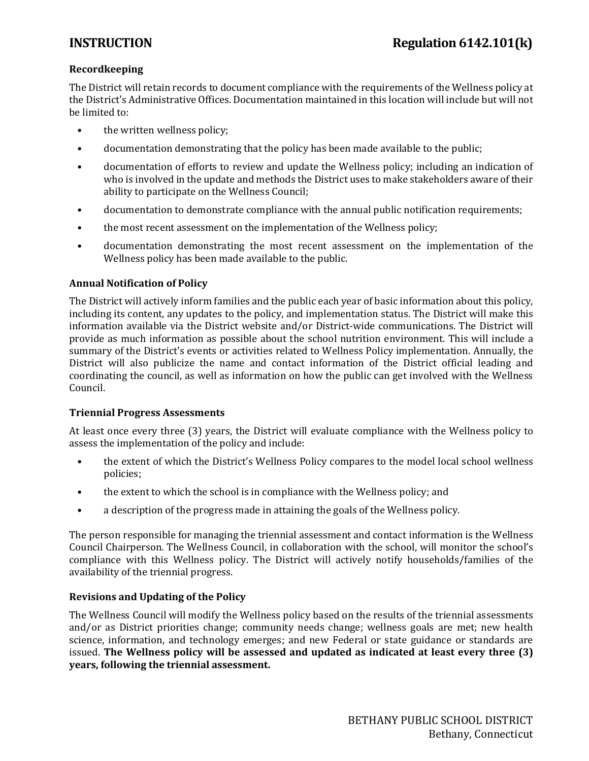# **Recordkeeping**

The District will retain records to document compliance with the requirements of the Wellness policy at the District's Administrative Offices. Documentation maintained in this location will include but will not be limited to:

- the written wellness policy;
- documentation demonstrating that the policy has been made available to the public;
- documentation of efforts to review and update the Wellness policy; including an indication of who is involved in the update and methods the District uses to make stakeholders aware of their ability to participate on the Wellness Council;
- documentation to demonstrate compliance with the annual public notification requirements;
- the most recent assessment on the implementation of the Wellness policy;
- documentation demonstrating the most recent assessment on the implementation of the Wellness policy has been made available to the public.

# **Annual Notification of Policy**

The District will actively inform families and the public each year of basic information about this policy, including its content, any updates to the policy, and implementation status. The District will make this information available via the District website and/or District-wide communications. The District will provide as much information as possible about the school nutrition environment. This will include a summary of the District's events or activities related to Wellness Policy implementation. Annually, the District will also publicize the name and contact information of the District official leading and coordinating the council, as well as information on how the public can get involved with the Wellness Council.

# **Triennial Progress Assessments**

At least once every three (3) years, the District will evaluate compliance with the Wellness policy to assess the implementation of the policy and include:

- the extent of which the District's Wellness Policy compares to the model local school wellness policies;
- the extent to which the school is in compliance with the Wellness policy; and
- a description of the progress made in attaining the goals of the Wellness policy.

The person responsible for managing the triennial assessment and contact information is the Wellness Council Chairperson. The Wellness Council, in collaboration with the school, will monitor the school's compliance with this Wellness policy. The District will actively notify households/families of the availability of the triennial progress.

# **Revisions and Updating of the Policy**

The Wellness Council will modify the Wellness policy based on the results of the triennial assessments and/or as District priorities change; community needs change; wellness goals are met; new health science, information, and technology emerges; and new Federal or state guidance or standards are issued. **The Wellness policy will be assessed and updated as indicated at least every three (3) years, following the triennial assessment.**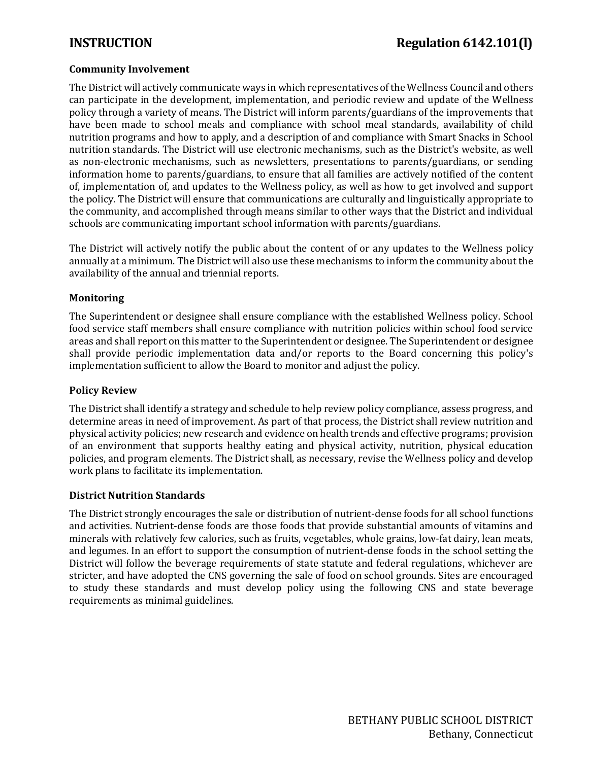# **Community Involvement**

The District will actively communicate ways in which representatives of the Wellness Council and others can participate in the development, implementation, and periodic review and update of the Wellness policy through a variety of means. The District will inform parents/guardians of the improvements that have been made to school meals and compliance with school meal standards, availability of child nutrition programs and how to apply, and a description of and compliance with Smart Snacks in School nutrition standards. The District will use electronic mechanisms, such as the District's website, as well as non-electronic mechanisms, such as newsletters, presentations to parents/guardians, or sending information home to parents/guardians, to ensure that all families are actively notified of the content of, implementation of, and updates to the Wellness policy, as well as how to get involved and support the policy. The District will ensure that communications are culturally and linguistically appropriate to the community, and accomplished through means similar to other ways that the District and individual schools are communicating important school information with parents/guardians.

The District will actively notify the public about the content of or any updates to the Wellness policy annually at a minimum. The District will also use these mechanisms to inform the community about the availability of the annual and triennial reports.

### **Monitoring**

The Superintendent or designee shall ensure compliance with the established Wellness policy. School food service staff members shall ensure compliance with nutrition policies within school food service areas and shall report on this matter to the Superintendent or designee. The Superintendent or designee shall provide periodic implementation data and/or reports to the Board concerning this policy's implementation sufficient to allow the Board to monitor and adjust the policy.

#### **Policy Review**

The District shall identify a strategy and schedule to help review policy compliance, assess progress, and determine areas in need of improvement. As part of that process, the District shall review nutrition and physical activity policies; new research and evidence on health trends and effective programs; provision of an environment that supports healthy eating and physical activity, nutrition, physical education policies, and program elements. The District shall, as necessary, revise the Wellness policy and develop work plans to facilitate its implementation.

#### **District Nutrition Standards**

The District strongly encourages the sale or distribution of nutrient-dense foods for all school functions and activities. Nutrient-dense foods are those foods that provide substantial amounts of vitamins and minerals with relatively few calories, such as fruits, vegetables, whole grains, low-fat dairy, lean meats, and legumes. In an effort to support the consumption of nutrient-dense foods in the school setting the District will follow the beverage requirements of state statute and federal regulations, whichever are stricter, and have adopted the CNS governing the sale of food on school grounds. Sites are encouraged to study these standards and must develop policy using the following CNS and state beverage requirements as minimal guidelines.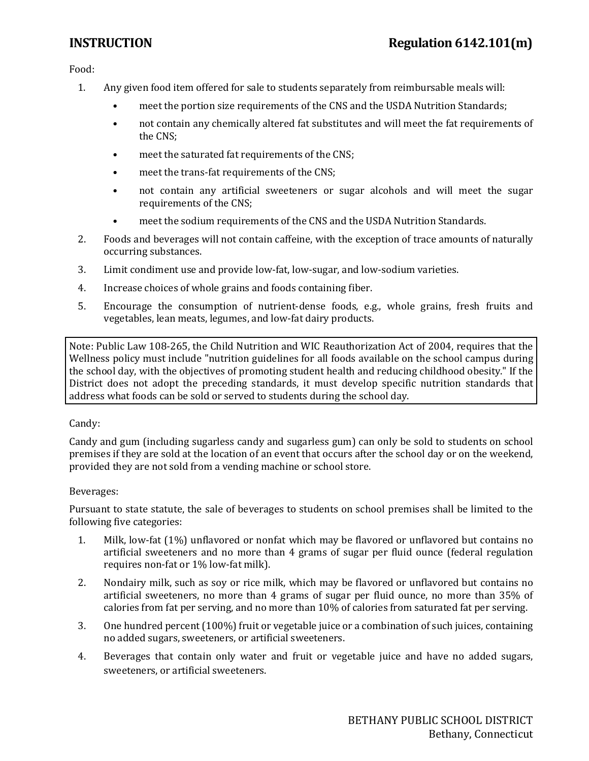Food:

- 1. Any given food item offered for sale to students separately from reimbursable meals will:
	- meet the portion size requirements of the CNS and the USDA Nutrition Standards;
	- not contain any chemically altered fat substitutes and will meet the fat requirements of the CNS;
	- meet the saturated fat requirements of the CNS;
	- meet the trans-fat requirements of the CNS;
	- not contain any artificial sweeteners or sugar alcohols and will meet the sugar requirements of the CNS;
	- meet the sodium requirements of the CNS and the USDA Nutrition Standards.
- 2. Foods and beverages will not contain caffeine, with the exception of trace amounts of naturally occurring substances.
- 3. Limit condiment use and provide low-fat, low-sugar, and low-sodium varieties.
- 4. Increase choices of whole grains and foods containing fiber.
- 5. Encourage the consumption of nutrient-dense foods, e.g., whole grains, fresh fruits and vegetables, lean meats, legumes, and low-fat dairy products.

Note: Public Law 108-265, the Child Nutrition and WIC Reauthorization Act of 2004, requires that the Wellness policy must include "nutrition guidelines for all foods available on the school campus during the school day, with the objectives of promoting student health and reducing childhood obesity." If the District does not adopt the preceding standards, it must develop specific nutrition standards that address what foods can be sold or served to students during the school day.

#### Candy:

Candy and gum (including sugarless candy and sugarless gum) can only be sold to students on school premises if they are sold at the location of an event that occurs after the school day or on the weekend, provided they are not sold from a vending machine or school store.

#### Beverages:

Pursuant to state statute, the sale of beverages to students on school premises shall be limited to the following five categories:

- 1. Milk, low-fat (1%) unflavored or nonfat which may be flavored or unflavored but contains no artificial sweeteners and no more than 4 grams of sugar per fluid ounce (federal regulation requires non-fat or 1% low-fat milk).
- 2. Nondairy milk, such as soy or rice milk, which may be flavored or unflavored but contains no artificial sweeteners, no more than 4 grams of sugar per fluid ounce, no more than 35% of calories from fat per serving, and no more than 10% of calories from saturated fat per serving.
- 3. One hundred percent (100%) fruit or vegetable juice or a combination of such juices, containing no added sugars, sweeteners, or artificial sweeteners.
- 4. Beverages that contain only water and fruit or vegetable juice and have no added sugars, sweeteners, or artificial sweeteners.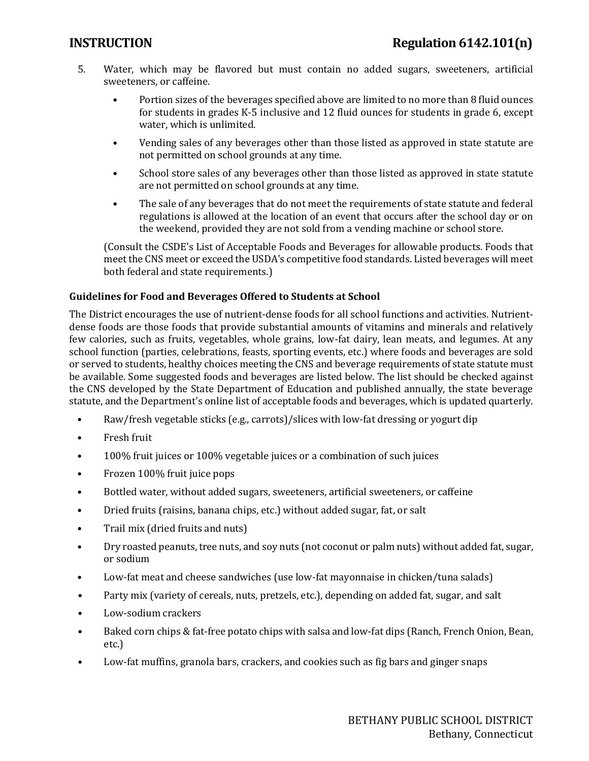- 5. Water, which may be flavored but must contain no added sugars, sweeteners, artificial sweeteners, or caffeine.
	- Portion sizes of the beverages specified above are limited to no more than 8 fluid ounces for students in grades K-5 inclusive and 12 fluid ounces for students in grade 6, except water, which is unlimited.
	- Vending sales of any beverages other than those listed as approved in state statute are not permitted on school grounds at any time.
	- School store sales of any beverages other than those listed as approved in state statute are not permitted on school grounds at any time.
	- The sale of any beverages that do not meet the requirements of state statute and federal regulations is allowed at the location of an event that occurs after the school day or on the weekend, provided they are not sold from a vending machine or school store.

(Consult the CSDE's List of Acceptable Foods and Beverages for allowable products. Foods that meet the CNS meet or exceed the USDA's competitive food standards. Listed beverages will meet both federal and state requirements.)

# **Guidelines for Food and Beverages Offered to Students at School**

The District encourages the use of nutrient-dense foods for all school functions and activities. Nutrientdense foods are those foods that provide substantial amounts of vitamins and minerals and relatively few calories, such as fruits, vegetables, whole grains, low-fat dairy, lean meats, and legumes. At any school function (parties, celebrations, feasts, sporting events, etc.) where foods and beverages are sold or served to students, healthy choices meeting the CNS and beverage requirements of state statute must be available. Some suggested foods and beverages are listed below. The list should be checked against the CNS developed by the State Department of Education and published annually, the state beverage statute, and the Department's online list of acceptable foods and beverages, which is updated quarterly.

- Raw/fresh vegetable sticks (e.g., carrots)/slices with low-fat dressing or yogurt dip
- Fresh fruit
- 100% fruit juices or 100% vegetable juices or a combination of such juices
- Frozen 100% fruit juice pops
- Bottled water, without added sugars, sweeteners, artificial sweeteners, or caffeine
- Dried fruits (raisins, banana chips, etc.) without added sugar, fat, or salt
- Trail mix (dried fruits and nuts)
- Dry roasted peanuts, tree nuts, and soy nuts (not coconut or palm nuts) without added fat, sugar, or sodium
- Low-fat meat and cheese sandwiches (use low-fat mayonnaise in chicken/tuna salads)
- Party mix (variety of cereals, nuts, pretzels, etc.), depending on added fat, sugar, and salt
- Low-sodium crackers
- Baked corn chips & fat-free potato chips with salsa and low-fat dips (Ranch, French Onion, Bean, etc.)
- Low-fat muffins, granola bars, crackers, and cookies such as fig bars and ginger snaps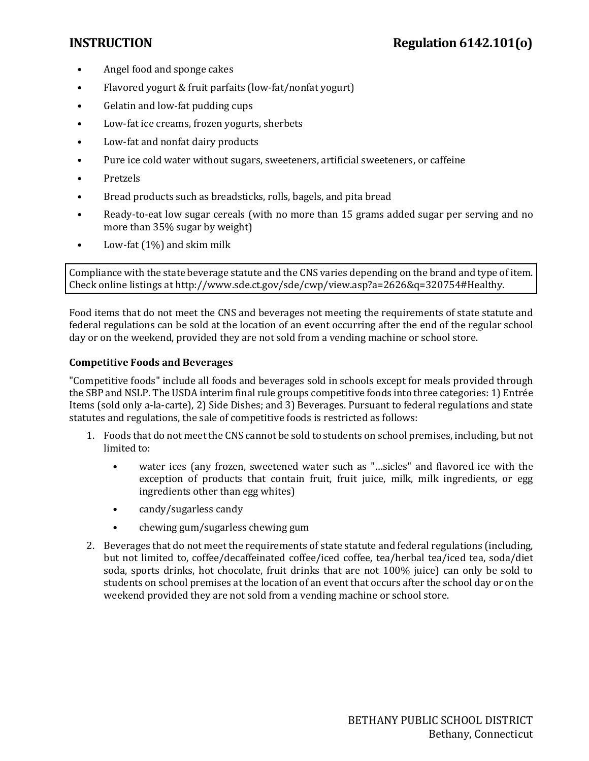- Angel food and sponge cakes
- Flavored yogurt & fruit parfaits (low-fat/nonfat yogurt)
- Gelatin and low-fat pudding cups
- Low-fat ice creams, frozen yogurts, sherbets
- Low-fat and nonfat dairy products
- Pure ice cold water without sugars, sweeteners, artificial sweeteners, or caffeine
- Pretzels
- Bread products such as breadsticks, rolls, bagels, and pita bread
- Ready-to-eat low sugar cereals (with no more than 15 grams added sugar per serving and no more than 35% sugar by weight)
- Low-fat (1%) and skim milk

. Check online listings a[t http://www.sde.ct.gov/sde/cwp/view.asp?a=2626&q=320754#Healthy](http://www.sde.ct.gov/sde/cwp/view.asp?a=2626&q=320754#Healthy) Compliance with the state beverage statute and the CNS varies depending on the brand and type of item.

Food items that do not meet the CNS and beverages not meeting the requirements of state statute and federal regulations can be sold at the location of an event occurring after the end of the regular school day or on the weekend, provided they are not sold from a vending machine or school store.

### **Competitive Foods and Beverages**

"Competitive foods" include all foods and beverages sold in schools except for meals provided through the SBP and NSLP. The USDA interim final rule groups competitive foods into three categories: 1) Entrée Items (sold only a-la-carte), 2) Side Dishes; and 3) Beverages. Pursuant to federal regulations and state statutes and regulations, the sale of competitive foods is restricted as follows:

- 1. Foods that do not meet the CNS cannot be sold to students on school premises, including, but not limited to:
	- water ices (any frozen, sweetened water such as "…sicles" and flavored ice with the exception of products that contain fruit, fruit juice, milk, milk ingredients, or egg ingredients other than egg whites)
	- candy/sugarless candy
	- chewing gum/sugarless chewing gum
- 2. Beverages that do not meet the requirements of state statute and federal regulations (including, but not limited to, coffee/decaffeinated coffee/iced coffee, tea/herbal tea/iced tea, soda/diet soda, sports drinks, hot chocolate, fruit drinks that are not 100% juice) can only be sold to students on school premises at the location of an event that occurs after the school day or on the weekend provided they are not sold from a vending machine or school store.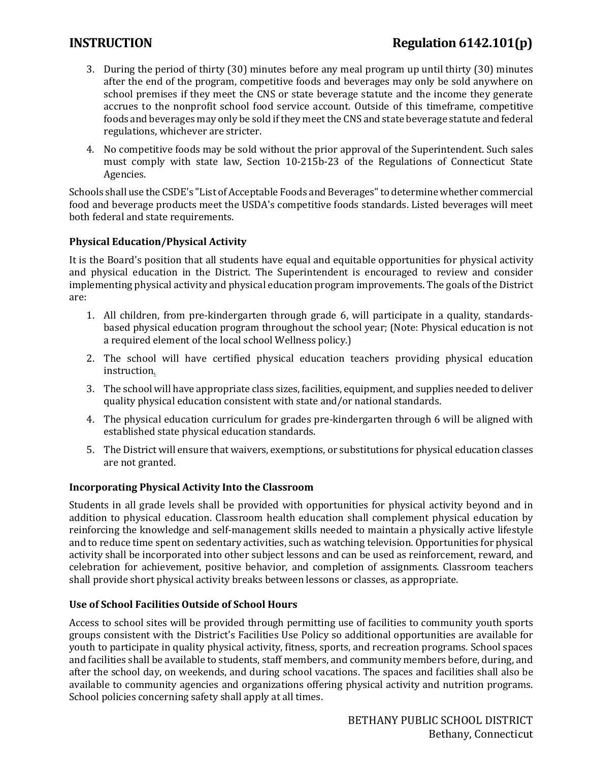# **INSTRUCTION Regulation 6142.101(p)**

- 3. During the period of thirty (30) minutes before any meal program up until thirty (30) minutes after the end of the program, competitive foods and beverages may only be sold anywhere on school premises if they meet the CNS or state beverage statute and the income they generate accrues to the nonprofit school food service account. Outside of this timeframe, competitive foods and beverages may only be sold if they meet the CNS and state beverage statute and federal regulations, whichever are stricter.
- 4. No competitive foods may be sold without the prior approval of the Superintendent. Such sales must comply with state law, Section 10-215b-23 of the Regulations of Connecticut State Agencies.

Schools shall use the CSDE's "List of Acceptable Foods and Beverages" to determine whether commercial food and beverage products meet the USDA's competitive foods standards. Listed beverages will meet both federal and state requirements.

### **Physical Education/Physical Activity**

It is the Board's position that all students have equal and equitable opportunities for physical activity and physical education in the District. The Superintendent is encouraged to review and consider implementing physical activity and physical education program improvements. The goals of the District are:

- 1. All children, from pre-kindergarten through grade 6, will participate in a quality, standardsbased physical education program throughout the school year; (Note: Physical education is not a required element of the local school Wellness policy.)
- 2. The school will have certified physical education teachers providing physical education instruction.
- 3. The school will have appropriate class sizes, facilities, equipment, and supplies needed to deliver quality physical education consistent with state and/or national standards.
- 4. The physical education curriculum for grades pre-kindergarten through 6 will be aligned with established state physical education standards.
- 5. The District will ensure that waivers, exemptions, or substitutions for physical education classes are not granted.

#### **Incorporating Physical Activity Into the Classroom**

Students in all grade levels shall be provided with opportunities for physical activity beyond and in addition to physical education. Classroom health education shall complement physical education by reinforcing the knowledge and self-management skills needed to maintain a physically active lifestyle and to reduce time spent on sedentary activities, such as watching television. Opportunities for physical activity shall be incorporated into other subject lessons and can be used as reinforcement, reward, and celebration for achievement, positive behavior, and completion of assignments. Classroom teachers shall provide short physical activity breaks between lessons or classes, as appropriate.

#### **Use of School Facilities Outside of School Hours**

Access to school sites will be provided through permitting use of facilities to community youth sports groups consistent with the District's Facilities Use Policy so additional opportunities are available for youth to participate in quality physical activity, fitness, sports, and recreation programs. School spaces and facilities shall be available to students, staff members, and community members before, during, and after the school day, on weekends, and during school vacations. The spaces and facilities shall also be available to community agencies and organizations offering physical activity and nutrition programs. School policies concerning safety shall apply at all times.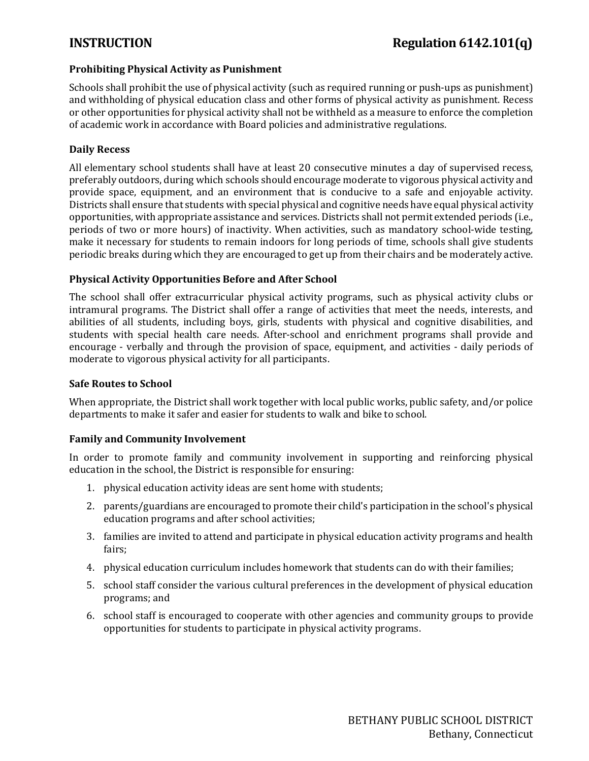# **Prohibiting Physical Activity as Punishment**

Schools shall prohibit the use of physical activity (such as required running or push-ups as punishment) and withholding of physical education class and other forms of physical activity as punishment. Recess or other opportunities for physical activity shall not be withheld as a measure to enforce the completion of academic work in accordance with Board policies and administrative regulations.

### **Daily Recess**

All elementary school students shall have at least 20 consecutive minutes a day of supervised recess, preferably outdoors, during which schools should encourage moderate to vigorous physical activity and provide space, equipment, and an environment that is conducive to a safe and enjoyable activity. Districts shall ensure that students with special physical and cognitive needs have equal physical activity opportunities, with appropriate assistance and services. Districts shall not permit extended periods (i.e., periods of two or more hours) of inactivity. When activities, such as mandatory school-wide testing, make it necessary for students to remain indoors for long periods of time, schools shall give students periodic breaks during which they are encouraged to get up from their chairs and be moderately active.

### **Physical Activity Opportunities Before and After School**

The school shall offer extracurricular physical activity programs, such as physical activity clubs or intramural programs. The District shall offer a range of activities that meet the needs, interests, and abilities of all students, including boys, girls, students with physical and cognitive disabilities, and students with special health care needs. After-school and enrichment programs shall provide and encourage - verbally and through the provision of space, equipment, and activities - daily periods of moderate to vigorous physical activity for all participants.

### **Safe Routes to School**

When appropriate, the District shall work together with local public works, public safety, and/or police departments to make it safer and easier for students to walk and bike to school.

# **Family and Community Involvement**

In order to promote family and community involvement in supporting and reinforcing physical education in the school, the District is responsible for ensuring:

- 1. physical education activity ideas are sent home with students;
- 2. parents/guardians are encouraged to promote their child's participation in the school's physical education programs and after school activities;
- 3. families are invited to attend and participate in physical education activity programs and health fairs;
- 4. physical education curriculum includes homework that students can do with their families;
- 5. school staff consider the various cultural preferences in the development of physical education programs; and
- 6. school staff is encouraged to cooperate with other agencies and community groups to provide opportunities for students to participate in physical activity programs.